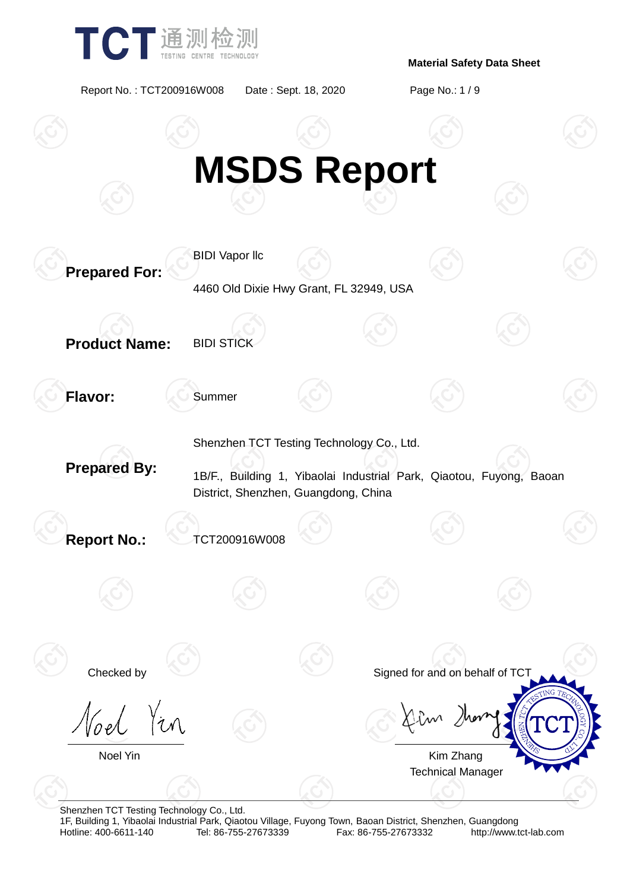

Report No. : TCT200916W008 Date : Sept. 18, 2020 Page No.: 1 / 9



Shenzhen TCT Testing Technology Co., Ltd.

1F, Building 1, Yibaolai Industrial Park, Qiaotou Village, Fuyong Town, Baoan District, Shenzhen, Guangdong Fax: 86-755-27673332 http://www.tct-lab.com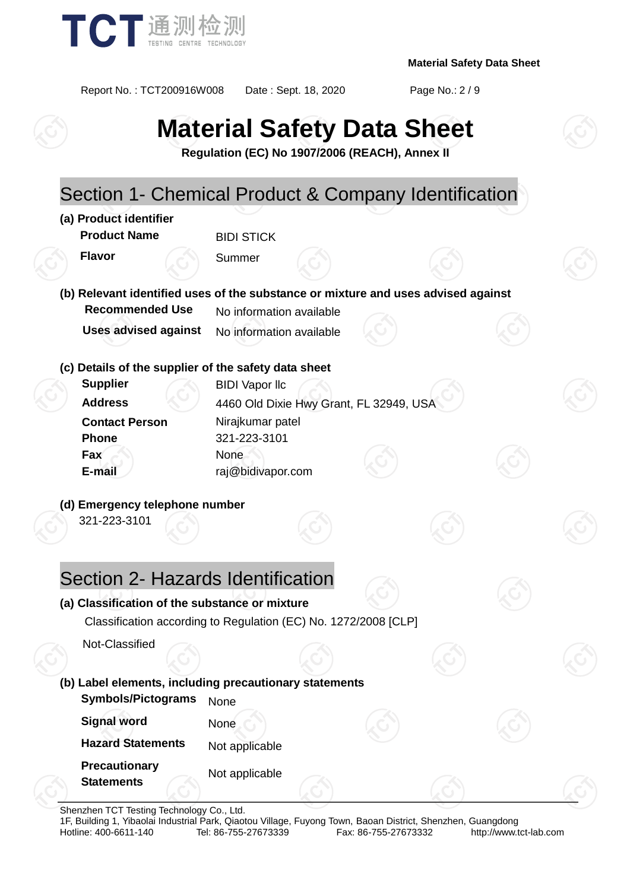

Report No. : TCT200916W008 Date : Sept. 18, 2020 Page No.: 2 / 9

# **Material Safety Data Sheet**

**Regulation (EC) No 1907/2006 (REACH), Annex II**

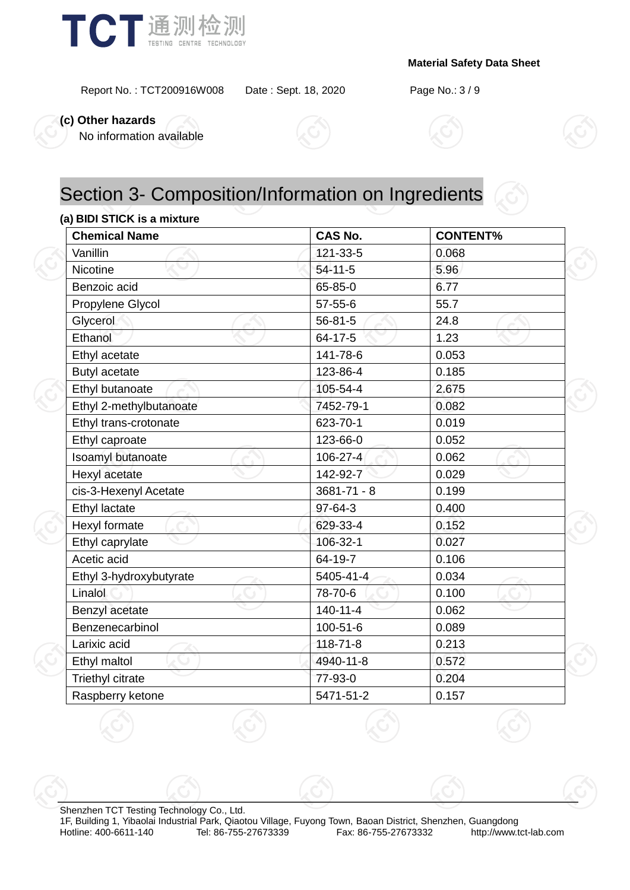

Report No. : TCT200916W008 Date : Sept. 18, 2020 Page No.: 3 / 9

**(c) Other hazards**

No information available





### Section 3- Composition/Information on Ingredients

### **(a) BIDI STICK is a mixture**

| <b>Chemical Name</b>    | <b>CAS No.</b>  | <b>CONTENT%</b> |
|-------------------------|-----------------|-----------------|
| Vanillin                | 121-33-5        | 0.068           |
| Nicotine                | $54 - 11 - 5$   | 5.96            |
| Benzoic acid            | 65-85-0         | 6.77            |
| Propylene Glycol        | $57 - 55 - 6$   | 55.7            |
| Glycerol                | $56 - 81 - 5$   | 24.8            |
| Ethanol                 | 64-17-5         | 1.23            |
| Ethyl acetate           | 141-78-6        | 0.053           |
| <b>Butyl acetate</b>    | 123-86-4        | 0.185           |
| Ethyl butanoate         | 105-54-4        | 2.675           |
| Ethyl 2-methylbutanoate | 7452-79-1       | 0.082           |
| Ethyl trans-crotonate   | 623-70-1        | 0.019           |
| Ethyl caproate          | 123-66-0        | 0.052           |
| Isoamyl butanoate       | 106-27-4        | 0.062           |
| Hexyl acetate           | 142-92-7        | 0.029           |
| cis-3-Hexenyl Acetate   | $3681 - 71 - 8$ | 0.199           |
| Ethyl lactate           | 97-64-3         | 0.400           |
| Hexyl formate           | 629-33-4        | 0.152           |
| Ethyl caprylate         | 106-32-1        | 0.027           |
| Acetic acid             | 64-19-7         | 0.106           |
| Ethyl 3-hydroxybutyrate | 5405-41-4       | 0.034           |
| Linalol                 | 78-70-6         | 0.100           |
| Benzyl acetate          | $140 - 11 - 4$  | 0.062           |
| Benzenecarbinol         | 100-51-6        | 0.089           |
| Larixic acid            | $118 - 71 - 8$  | 0.213           |
| Ethyl maltol            | 4940-11-8       | 0.572           |
| <b>Triethyl citrate</b> | 77-93-0         | 0.204           |
| Raspberry ketone        | 5471-51-2       | 0.157           |

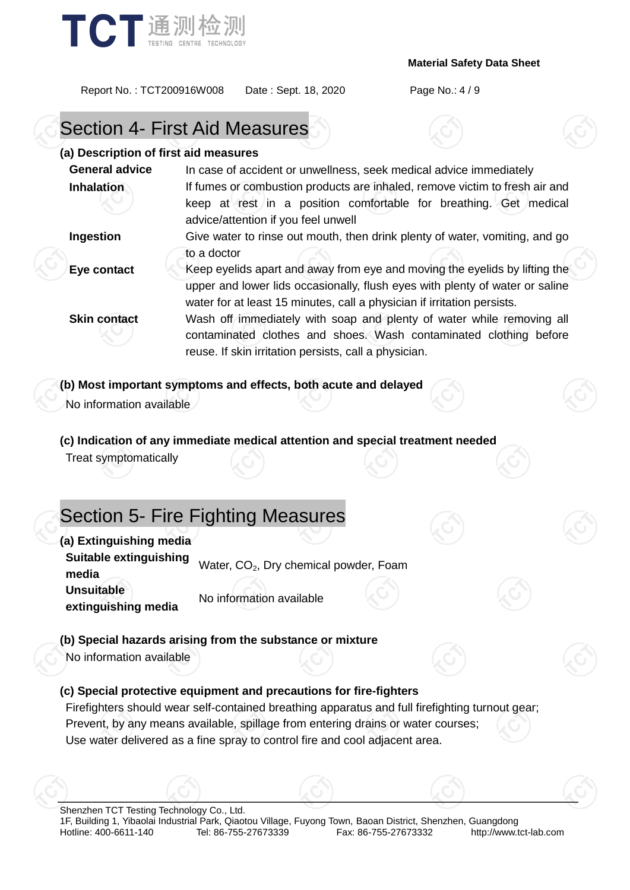

Report No. : TCT200916W008 Date : Sept. 18, 2020 Page No.: 4 / 9

### Section 4- First Aid Measures

### **(a) Description of first aid measures**

| <b>General advice</b> | In case of accident or unwellness, seek medical advice immediately                                                                                                                                                                    |  |  |
|-----------------------|---------------------------------------------------------------------------------------------------------------------------------------------------------------------------------------------------------------------------------------|--|--|
| <b>Inhalation</b>     | If fumes or combustion products are inhaled, remove victim to fresh air and<br>keep at rest in a position comfortable for breathing. Get medical<br>advice/attention if you feel unwell                                               |  |  |
| Ingestion             | Give water to rinse out mouth, then drink plenty of water, vomiting, and go                                                                                                                                                           |  |  |
|                       | to a doctor                                                                                                                                                                                                                           |  |  |
| Eye contact           | Keep eyelids apart and away from eye and moving the eyelids by lifting the<br>upper and lower lids occasionally, flush eyes with plenty of water or saline<br>water for at least 15 minutes, call a physician if irritation persists. |  |  |
| <b>Skin contact</b>   | Wash off immediately with soap and plenty of water while removing all<br>contaminated clothes and shoes. Wash contaminated clothing before<br>reuse. If skin irritation persists, call a physician.                                   |  |  |

### **(b) Most important symptoms and effects, both acute and delayed**

No information available

### **(c) Indication of any immediate medical attention and special treatment needed**

Treat symptomatically

### Section 5- Fire Fighting Measures

**(a) Extinguishing media**

**Suitable extinguishing building examgersing** Water, CO<sub>2</sub>, Dry chemical powder, Foam **Unsuitable extinguishing media** No information available

### **(b) Special hazards arising from the substance or mixture**

No information available

### **(c) Special protective equipment and precautions for fire-fighters**

Firefighters should wear self-contained breathing apparatus and full firefighting turnout gear; Prevent, by any means available, spillage from entering drains or water courses; Use water delivered as a fine spray to control fire and cool adjacent area.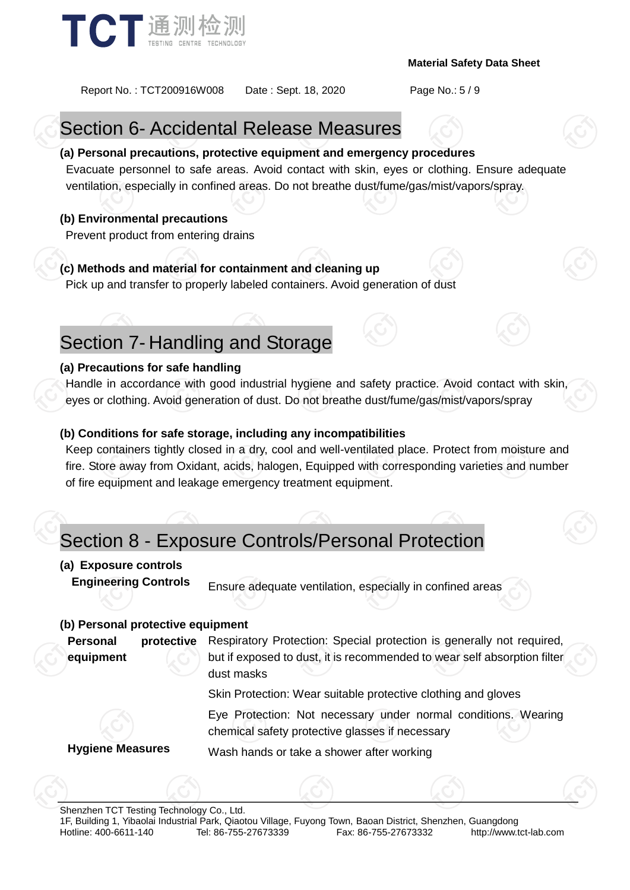

Report No. : TCT200916W008 Date : Sept. 18, 2020 Page No.: 5 / 9

### Section 6- Accidental Release Measures

### **(a) Personal precautions, protective equipment and emergency procedures**

Evacuate personnel to safe areas. Avoid contact with skin, eyes or clothing. Ensure adequate ventilation, especially in confined areas. Do not breathe dust/fume/gas/mist/vapors/spray.

### **(b) Environmental precautions**

Prevent product from entering drains

### **(c) Methods and material for containment and cleaning up**

Pick up and transfer to properly labeled containers. Avoid generation of dust

### Section 7- Handling and Storage

### **(a) Precautions for safe handling**

Handle in accordance with good industrial hygiene and safety practice. Avoid contact with skin, eyes or clothing. Avoid generation of dust. Do not breathe dust/fume/gas/mist/vapors/spray

### **(b) Conditions for safe storage, including any incompatibilities**

Keep containers tightly closed in a dry, cool and well-ventilated place. Protect from moisture and fire. Store away from Oxidant, acids, halogen, Equipped with corresponding varieties and number of fire equipment and leakage emergency treatment equipment.

### Section 8 - Exposure Controls/Personal Protection

### **(a) Exposure controls**

**Engineering Controls** Ensure adequate ventilation, especially in confined areas

### **(b) Personal protective equipment**

**Personal protective equipment** Respiratory Protection: Special protection is generally not required, but if exposed to dust, it is recommended to wear self absorption filter dust masks

Skin Protection: Wear suitable protective clothing and gloves

Eye Protection: Not necessary under normal conditions. Wearing chemical safety protective glasses if necessary

**Hygiene Measures** Wash hands or take a shower after working

Shenzhen TCT Testing Technology Co., Ltd.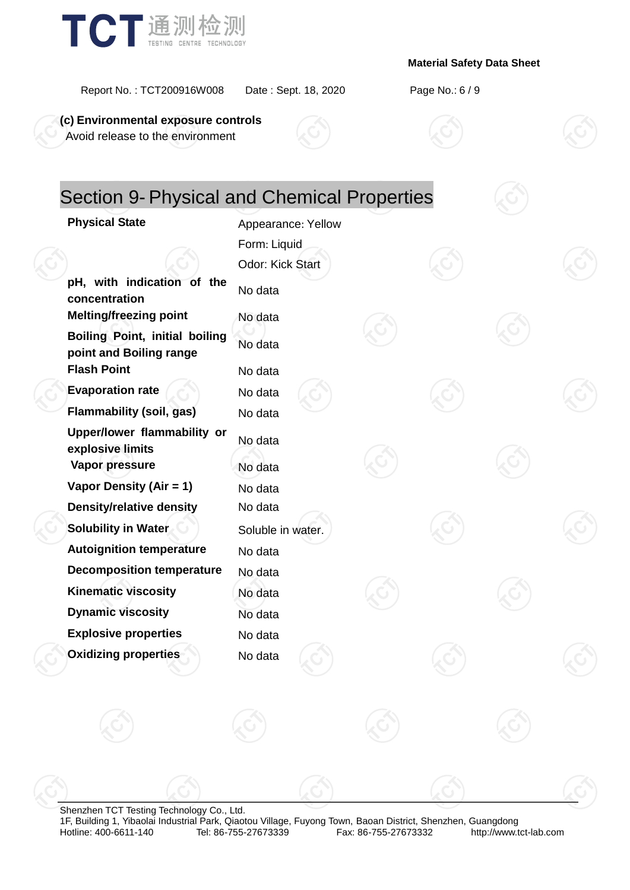

#### Report No. : TCT200916W008 Date : Sept. 18, 2020 Page No.: 6 / 9

**(c) Environmental exposure controls** Avoid release to the environment

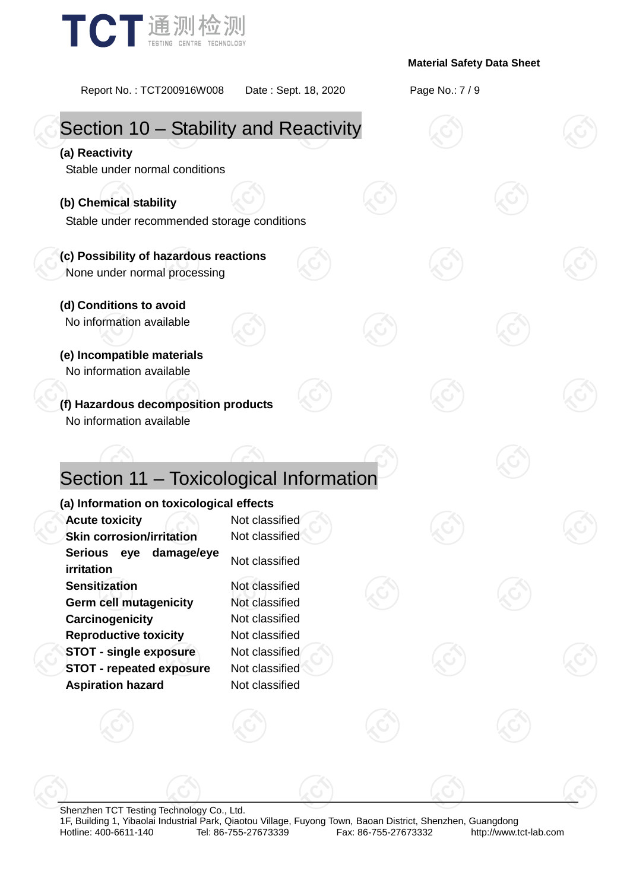

Report No. : TCT200916W008 Date : Sept. 18, 2020 Page No.: 7 / 9 Section 10 – Stability and Reactivity **(a) Reactivity** Stable under normal conditions **(b) Chemical stability** Stable under recommended storage conditions **(c) Possibility of hazardous reactions** None under normal processing **(d) Conditions to avoid** No information available **(e) Incompatible materials** No information available **(f) Hazardous decomposition products** No information available Section 11 – Toxicological Information **(a) Information on toxicological effects Acute toxicity** Acute **Not** classified **Skin corrosion/irritation** Not classified **Serious eye damage/eye irritation**<br>**irritation Sensitization** Not classified **Germ cell mutagenicity** Not classified **Carcinogenicity** Not classified **Reproductive toxicity** Not classified **STOT - single exposure** Not classified **STOT - repeated exposure** Not classified **Aspiration hazard** Not classified

Shenzhen TCT Testing Technology Co., Ltd. 1F, Building 1, Yibaolai Industrial Park, Qiaotou Village, Fuyong Town, Baoan District, Shenzhen, Guangdong Fax: 86-755-27673332 http://www.tct-lab.com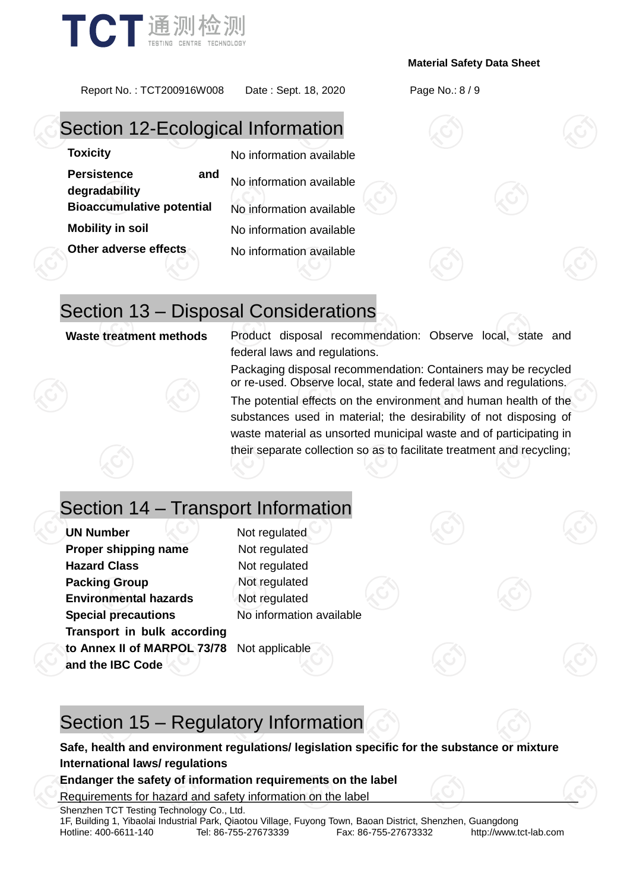

Report No. : TCT200916W008 Date : Sept. 18, 2020 Page No.: 8 / 9

### Section 12-Ecological Information

### **Toxicity** No information available

**Persistence and degradability** No information available **Bioaccumulative potential** No information available **Mobility in soil** No information available

**Other adverse effects** No information available

### Section 13 – Disposal Considerations

**Waste treatment methods** Product disposal recommendation: Observe local, state and federal laws and regulations.

> Packaging disposal recommendation: Containers may be recycled or re-used. Observe local, state and federal laws and regulations.

> The potential effects on the environment and human health of the substances used in material; the desirability of not disposing of waste material as unsorted municipal waste and of participating in their separate collection so as to facilitate treatment and recycling;

## Section 14 – Transport Information

**UN Number**  $\leq 1$  Not regulated **Proper shipping name** Not regulated **Hazard Class** Not regulated **Packing Group** Not regulated **Environmental hazards** Not regulated **Special precautions** No information available **Transport in bulk according to Annex II of MARPOL 73/78**  Not applicable **and the IBC Code**

### Section 15 – Regulatory Information

### **Safe, health and environment regulations/ legislation specific for the substance or mixture International laws/ regulations**

### **Endanger the safety of information requirements on the label**

Requirements for hazard and safety information on the label

Shenzhen TCT Testing Technology Co., Ltd.

1F, Building 1, Yibaolai Industrial Park, Qiaotou Village, Fuyong Town, Baoan District, Shenzhen, Guangdong Hotline: 400-6611-140 Tel: 86-755-27673339 Fax: 86-755-27673332 http://www.tct-lab.com